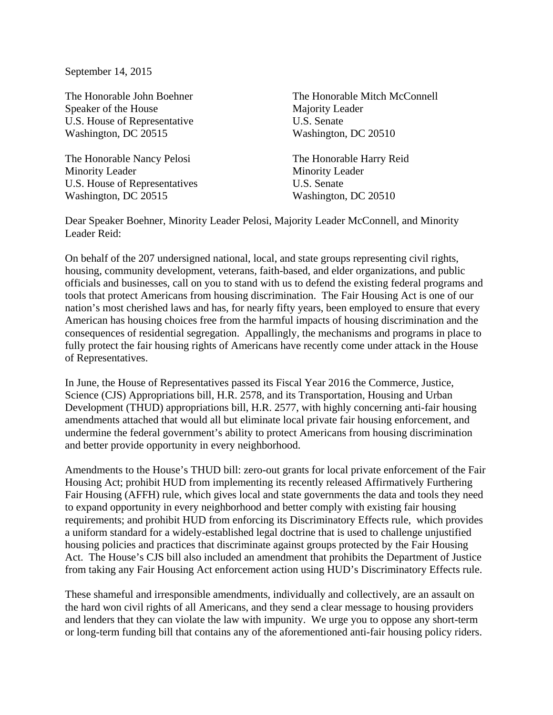September 14, 2015

Speaker of the House Majority Leader U.S. House of Representative U.S. Senate Washington, DC 20515 Washington, DC 20510

The Honorable Nancy Pelosi The Honorable Harry Reid Minority Leader Minority Leader U.S. House of Representatives U.S. Senate Washington, DC 20515 Washington, DC 20510

The Honorable John Boehner The Honorable Mitch McConnell

Dear Speaker Boehner, Minority Leader Pelosi, Majority Leader McConnell, and Minority Leader Reid:

On behalf of the 207 undersigned national, local, and state groups representing civil rights, housing, community development, veterans, faith-based, and elder organizations, and public officials and businesses, call on you to stand with us to defend the existing federal programs and tools that protect Americans from housing discrimination. The Fair Housing Act is one of our nation's most cherished laws and has, for nearly fifty years, been employed to ensure that every American has housing choices free from the harmful impacts of housing discrimination and the consequences of residential segregation. Appallingly, the mechanisms and programs in place to fully protect the fair housing rights of Americans have recently come under attack in the House of Representatives.

In June, the House of Representatives passed its Fiscal Year 2016 the Commerce, Justice, Science (CJS) Appropriations bill, H.R. 2578, and its Transportation, Housing and Urban Development (THUD) appropriations bill, H.R. 2577, with highly concerning anti-fair housing amendments attached that would all but eliminate local private fair housing enforcement, and undermine the federal government's ability to protect Americans from housing discrimination and better provide opportunity in every neighborhood.

Amendments to the House's THUD bill: zero-out grants for local private enforcement of the Fair Housing Act; prohibit HUD from implementing its recently released Affirmatively Furthering Fair Housing (AFFH) rule, which gives local and state governments the data and tools they need to expand opportunity in every neighborhood and better comply with existing fair housing requirements; and prohibit HUD from enforcing its Discriminatory Effects rule, which provides a uniform standard for a widely-established legal doctrine that is used to challenge unjustified housing policies and practices that discriminate against groups protected by the Fair Housing Act. The House's CJS bill also included an amendment that prohibits the Department of Justice from taking any Fair Housing Act enforcement action using HUD's Discriminatory Effects rule.

These shameful and irresponsible amendments, individually and collectively, are an assault on the hard won civil rights of all Americans, and they send a clear message to housing providers and lenders that they can violate the law with impunity. We urge you to oppose any short-term or long-term funding bill that contains any of the aforementioned anti-fair housing policy riders.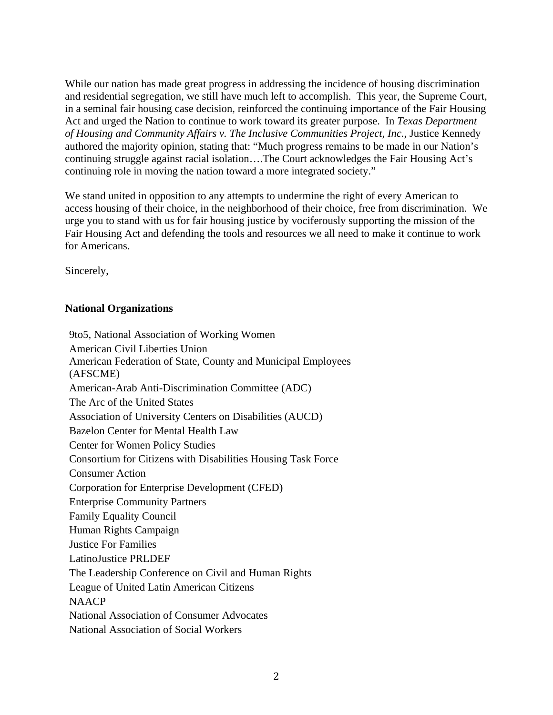While our nation has made great progress in addressing the incidence of housing discrimination and residential segregation, we still have much left to accomplish. This year, the Supreme Court, in a seminal fair housing case decision, reinforced the continuing importance of the Fair Housing Act and urged the Nation to continue to work toward its greater purpose. In *Texas Department of Housing and Community Affairs v. The Inclusive Communities Project, Inc.*, Justice Kennedy authored the majority opinion, stating that: "Much progress remains to be made in our Nation's continuing struggle against racial isolation….The Court acknowledges the Fair Housing Act's continuing role in moving the nation toward a more integrated society."

We stand united in opposition to any attempts to undermine the right of every American to access housing of their choice, in the neighborhood of their choice, free from discrimination. We urge you to stand with us for fair housing justice by vociferously supporting the mission of the Fair Housing Act and defending the tools and resources we all need to make it continue to work for Americans.

Sincerely,

## **National Organizations**

9to5, National Association of Working Women American Civil Liberties Union American Federation of State, County and Municipal Employees (AFSCME) American-Arab Anti-Discrimination Committee (ADC) The Arc of the United States Association of University Centers on Disabilities (AUCD) Bazelon Center for Mental Health Law Center for Women Policy Studies Consortium for Citizens with Disabilities Housing Task Force Consumer Action Corporation for Enterprise Development (CFED) Enterprise Community Partners Family Equality Council Human Rights Campaign Justice For Families LatinoJustice PRLDEF The Leadership Conference on Civil and Human Rights League of United Latin American Citizens NAACP National Association of Consumer Advocates National Association of Social Workers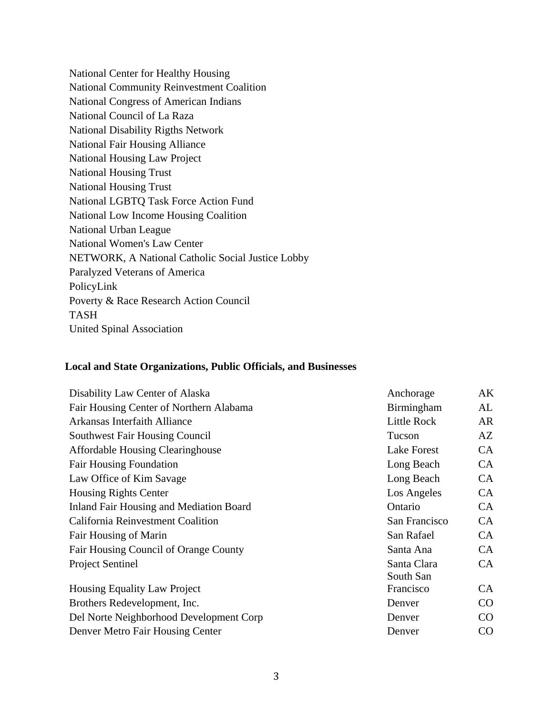National Center for Healthy Housing National Community Reinvestment Coalition National Congress of American Indians National Council of La Raza National Disability Rigths Network National Fair Housing Alliance National Housing Law Project National Housing Trust National Housing Trust National LGBTQ Task Force Action Fund National Low Income Housing Coalition National Urban League National Women's Law Center NETWORK, A National Catholic Social Justice Lobby Paralyzed Veterans of America PolicyLink Poverty & Race Research Action Council TASH United Spinal Association

## **Local and State Organizations, Public Officials, and Businesses**

| Disability Law Center of Alaska                | Anchorage          | AK        |
|------------------------------------------------|--------------------|-----------|
| Fair Housing Center of Northern Alabama        | Birmingham         | AL        |
| Arkansas Interfaith Alliance                   | Little Rock        | AR        |
| <b>Southwest Fair Housing Council</b>          | Tucson             | AZ        |
| <b>Affordable Housing Clearinghouse</b>        | <b>Lake Forest</b> | <b>CA</b> |
| <b>Fair Housing Foundation</b>                 | Long Beach         | CA        |
| Law Office of Kim Savage                       | Long Beach         | CA        |
| <b>Housing Rights Center</b>                   | Los Angeles        | <b>CA</b> |
| <b>Inland Fair Housing and Mediation Board</b> | Ontario            | <b>CA</b> |
| California Reinvestment Coalition              | San Francisco      | CA        |
| Fair Housing of Marin                          | San Rafael         | CA        |
| Fair Housing Council of Orange County          | Santa Ana          | <b>CA</b> |
| <b>Project Sentinel</b>                        | Santa Clara        | <b>CA</b> |
|                                                | South San          |           |
| Housing Equality Law Project                   | Francisco          | CA        |
| Brothers Redevelopment, Inc.                   | Denver             | $\rm CO$  |
| Del Norte Neighborhood Development Corp        | Denver             | $\rm CO$  |
| Denver Metro Fair Housing Center               | Denver             | CO        |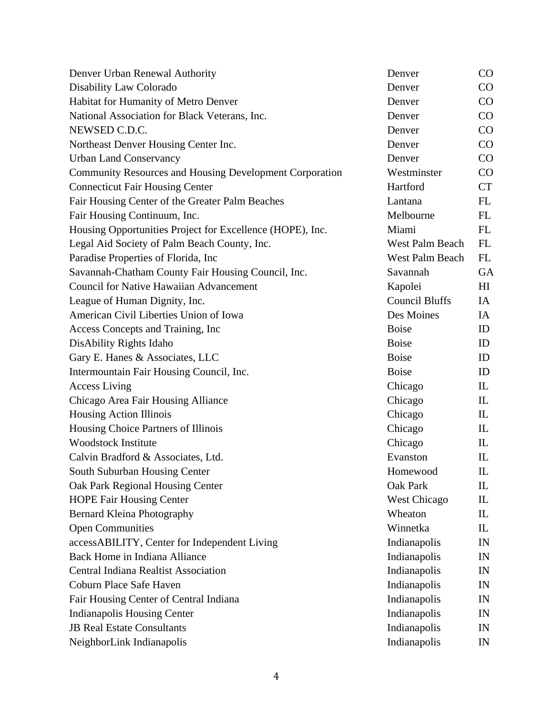| Denver Urban Renewal Authority                                 | Denver                 | CO             |
|----------------------------------------------------------------|------------------------|----------------|
| Disability Law Colorado                                        | Denver                 | CO             |
| Habitat for Humanity of Metro Denver                           | Denver                 | CO             |
| National Association for Black Veterans, Inc.                  | Denver                 | $\rm CO$       |
| NEWSED C.D.C.                                                  | Denver                 | CO             |
| Northeast Denver Housing Center Inc.                           | Denver                 | CO             |
| <b>Urban Land Conservancy</b>                                  | Denver                 | CO             |
| <b>Community Resources and Housing Development Corporation</b> | Westminster            | CO             |
| <b>Connecticut Fair Housing Center</b>                         | Hartford               | <b>CT</b>      |
| Fair Housing Center of the Greater Palm Beaches                | Lantana                | FL             |
| Fair Housing Continuum, Inc.                                   | Melbourne              | FL             |
| Housing Opportunities Project for Excellence (HOPE), Inc.      | Miami                  | FL             |
| Legal Aid Society of Palm Beach County, Inc.                   | West Palm Beach        | FL             |
| Paradise Properties of Florida, Inc.                           | <b>West Palm Beach</b> | FL             |
| Savannah-Chatham County Fair Housing Council, Inc.             | Savannah               | <b>GA</b>      |
| <b>Council for Native Hawaiian Advancement</b>                 | Kapolei                | H <sub>I</sub> |
| League of Human Dignity, Inc.                                  | <b>Council Bluffs</b>  | IA             |
| American Civil Liberties Union of Iowa                         | Des Moines             | IA             |
| Access Concepts and Training, Inc.                             | <b>Boise</b>           | ID             |
| DisAbility Rights Idaho                                        | <b>Boise</b>           | ID             |
| Gary E. Hanes & Associates, LLC                                | <b>Boise</b>           | ID             |
| Intermountain Fair Housing Council, Inc.                       | <b>Boise</b>           | ID             |
| <b>Access Living</b>                                           | Chicago                | IL             |
| Chicago Area Fair Housing Alliance                             | Chicago                | IL             |
| Housing Action Illinois                                        | Chicago                | $\mathbf{L}$   |
| Housing Choice Partners of Illinois                            | Chicago                | IL             |
| <b>Woodstock Institute</b>                                     | Chicago                | IL             |
| Calvin Bradford & Associates, Ltd.                             | Evanston               | IL             |
| South Suburban Housing Center                                  | Homewood               | $\mathbf{I}$   |
| Oak Park Regional Housing Center                               | Oak Park               | IL             |
| <b>HOPE Fair Housing Center</b>                                | West Chicago           | IL             |
| <b>Bernard Kleina Photography</b>                              | Wheaton                | IL             |
| <b>Open Communities</b>                                        | Winnetka               | IL             |
| accessABILITY, Center for Independent Living                   | Indianapolis           | IN             |
| <b>Back Home in Indiana Alliance</b>                           | Indianapolis           | IN             |
| <b>Central Indiana Realtist Association</b>                    | Indianapolis           | IN             |
| Coburn Place Safe Haven                                        | Indianapolis           | IN             |
| Fair Housing Center of Central Indiana                         | Indianapolis           | IN             |
| <b>Indianapolis Housing Center</b>                             | Indianapolis           | IN             |
| <b>JB Real Estate Consultants</b>                              | Indianapolis           | IN             |
| NeighborLink Indianapolis                                      | Indianapolis           | IN             |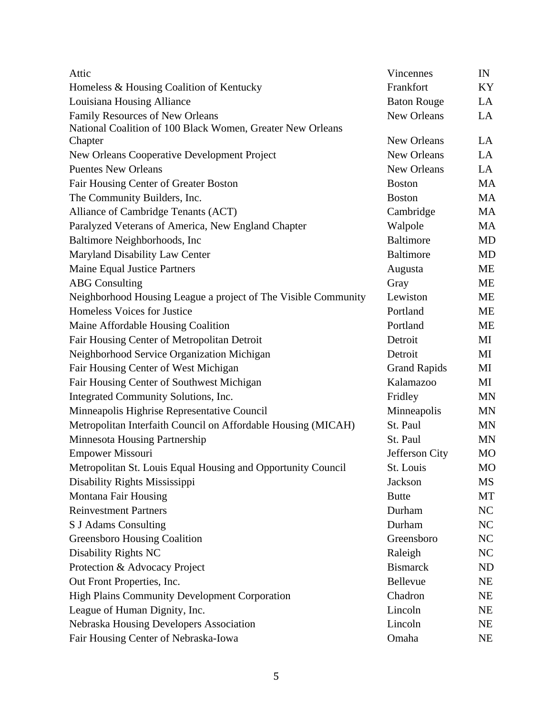| Attic                                                          | <b>Vincennes</b>    | IN        |
|----------------------------------------------------------------|---------------------|-----------|
| Homeless & Housing Coalition of Kentucky                       | Frankfort           | KY        |
| Louisiana Housing Alliance                                     | <b>Baton Rouge</b>  | LA        |
| Family Resources of New Orleans                                | New Orleans         | LA        |
| National Coalition of 100 Black Women, Greater New Orleans     |                     |           |
| Chapter                                                        | New Orleans         | LA        |
| New Orleans Cooperative Development Project                    | New Orleans         | LA        |
| <b>Puentes New Orleans</b>                                     | New Orleans         | LA        |
| Fair Housing Center of Greater Boston                          | <b>Boston</b>       | <b>MA</b> |
| The Community Builders, Inc.                                   | <b>Boston</b>       | MA        |
| Alliance of Cambridge Tenants (ACT)                            | Cambridge           | <b>MA</b> |
| Paralyzed Veterans of America, New England Chapter             | Walpole             | MA        |
| Baltimore Neighborhoods, Inc                                   | <b>Baltimore</b>    | <b>MD</b> |
| Maryland Disability Law Center                                 | <b>Baltimore</b>    | <b>MD</b> |
| <b>Maine Equal Justice Partners</b>                            | Augusta             | МE        |
| <b>ABG</b> Consulting                                          | Gray                | ME        |
| Neighborhood Housing League a project of The Visible Community | Lewiston            | ME        |
| Homeless Voices for Justice                                    | Portland            | ME        |
| Maine Affordable Housing Coalition                             | Portland            | <b>ME</b> |
| Fair Housing Center of Metropolitan Detroit                    | Detroit             | МI        |
| Neighborhood Service Organization Michigan                     | Detroit             | MI        |
| Fair Housing Center of West Michigan                           | <b>Grand Rapids</b> | МI        |
| Fair Housing Center of Southwest Michigan                      | Kalamazoo           | МI        |
| Integrated Community Solutions, Inc.                           | Fridley             | MN        |
| Minneapolis Highrise Representative Council                    | Minneapolis         | <b>MN</b> |
| Metropolitan Interfaith Council on Affordable Housing (MICAH)  | St. Paul            | <b>MN</b> |
| Minnesota Housing Partnership                                  | St. Paul            | <b>MN</b> |
| <b>Empower Missouri</b>                                        | Jefferson City      | <b>MO</b> |
| Metropolitan St. Louis Equal Housing and Opportunity Council   | St. Louis           | <b>MO</b> |
| Disability Rights Mississippi                                  | Jackson             | MS        |
| Montana Fair Housing                                           | <b>Butte</b>        | MT        |
| <b>Reinvestment Partners</b>                                   | Durham              | NC        |
| S J Adams Consulting                                           | Durham              | NC        |
| <b>Greensboro Housing Coalition</b>                            | Greensboro          | NC        |
| <b>Disability Rights NC</b>                                    | Raleigh             | NC        |
| Protection & Advocacy Project                                  | <b>Bismarck</b>     | ND        |
| Out Front Properties, Inc.                                     | Bellevue            | NE        |
| <b>High Plains Community Development Corporation</b>           | Chadron             | <b>NE</b> |
| League of Human Dignity, Inc.                                  | Lincoln             | <b>NE</b> |
| Nebraska Housing Developers Association                        | Lincoln             | NE        |
| Fair Housing Center of Nebraska-Iowa                           | Omaha               | NE        |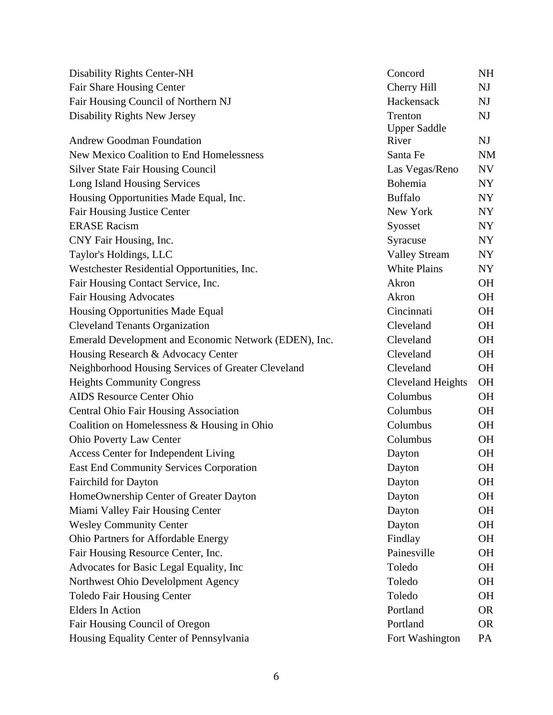| <b>Disability Rights Center-NH</b>                    | Concord                  | <b>NH</b>      |
|-------------------------------------------------------|--------------------------|----------------|
| Fair Share Housing Center                             | Cherry Hill              | NJ             |
| Fair Housing Council of Northern NJ                   | Hackensack               | NJ             |
| Disability Rights New Jersey                          | Trenton                  | NJ             |
|                                                       | <b>Upper Saddle</b>      |                |
| <b>Andrew Goodman Foundation</b>                      | River                    | N <sub>J</sub> |
| New Mexico Coalition to End Homelessness              | Santa Fe                 | <b>NM</b>      |
| <b>Silver State Fair Housing Council</b>              | Las Vegas/Reno           | NV             |
| Long Island Housing Services                          | Bohemia                  | NY             |
| Housing Opportunities Made Equal, Inc.                | <b>Buffalo</b>           | NY             |
| <b>Fair Housing Justice Center</b>                    | New York                 | NY             |
| <b>ERASE Racism</b>                                   | Syosset                  | NY             |
| CNY Fair Housing, Inc.                                | Syracuse                 | NY             |
| Taylor's Holdings, LLC                                | <b>Valley Stream</b>     | NY             |
| Westchester Residential Opportunities, Inc.           | <b>White Plains</b>      | NY             |
| Fair Housing Contact Service, Inc.                    | Akron                    | <b>OH</b>      |
| <b>Fair Housing Advocates</b>                         | Akron                    | <b>OH</b>      |
| Housing Opportunities Made Equal                      | Cincinnati               | <b>OH</b>      |
| <b>Cleveland Tenants Organization</b>                 | Cleveland                | <b>OH</b>      |
| Emerald Development and Economic Network (EDEN), Inc. | Cleveland                | <b>OH</b>      |
| Housing Research & Advocacy Center                    | Cleveland                | <b>OH</b>      |
| Neighborhood Housing Services of Greater Cleveland    | Cleveland                | <b>OH</b>      |
| <b>Heights Community Congress</b>                     | <b>Cleveland Heights</b> | <b>OH</b>      |
| <b>AIDS</b> Resource Center Ohio                      | Columbus                 | <b>OH</b>      |
| <b>Central Ohio Fair Housing Association</b>          | Columbus                 | <b>OH</b>      |
| Coalition on Homelessness & Housing in Ohio           | Columbus                 | <b>OH</b>      |
| <b>Ohio Poverty Law Center</b>                        | Columbus                 | <b>OH</b>      |
| Access Center for Independent Living                  | Dayton                   | <b>OH</b>      |
| East End Community Services Corporation               | Dayton                   | <b>OH</b>      |
| <b>Fairchild for Dayton</b>                           | Dayton                   | OН             |
| HomeOwnership Center of Greater Dayton                | Dayton                   | <b>OH</b>      |
| Miami Valley Fair Housing Center                      | Dayton                   | OН             |
| <b>Wesley Community Center</b>                        | Dayton                   | <b>OH</b>      |
| Ohio Partners for Affordable Energy                   | Findlay                  | OН             |
| Fair Housing Resource Center, Inc.                    | Painesville              | <b>OH</b>      |
| Advocates for Basic Legal Equality, Inc               | Toledo                   | <b>OH</b>      |
| Northwest Ohio Develolpment Agency                    | Toledo                   | <b>OH</b>      |
| <b>Toledo Fair Housing Center</b>                     | Toledo                   | <b>OH</b>      |
| <b>Elders In Action</b>                               | Portland                 | <b>OR</b>      |
| Fair Housing Council of Oregon                        | Portland                 | <b>OR</b>      |
| Housing Equality Center of Pennsylvania               | Fort Washington          | PA             |